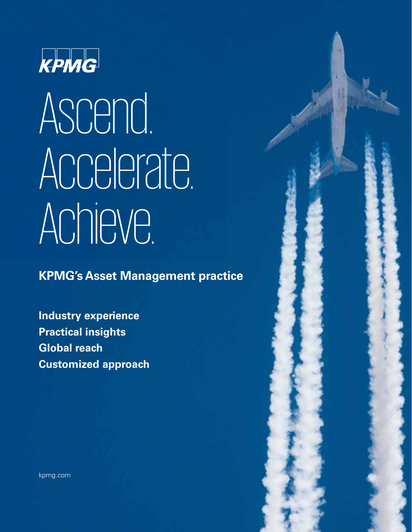

# Ascend. Accelerate. Achieve.

**KPMG's Asset Management practice**

**Industry experience Practical insights Global reach Customized approach**

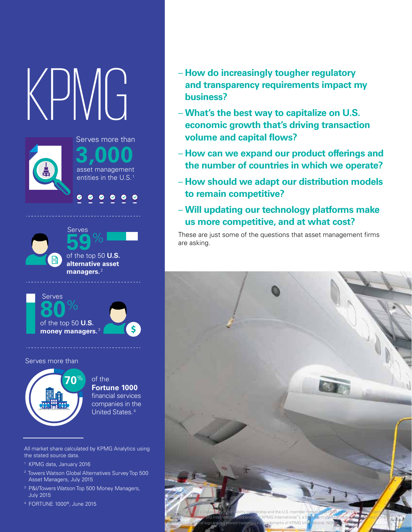# KPMG



**3,000** asset management entities in the U.S.<sup>1</sup>

Serves more than

 $\begin{array}{ccc} & \circ & \circ & \circ & \circ \end{array}$  $\bullet$ 

Serves **59**% of the top 50 **U.S. alternative asset managers.** <sup>2</sup>

Serves **80**% of the top 50 **U.S. money managers.** <sup>3</sup>

#### Serves more than



of the **Fortune 1000** financial services companies in the United States.4

All market share calculated by KPMG Analytics using the stated source data.

- 1 KPMG data, January 2016
- 2 Towers Watson Global Alternatives Survey Top 500 Asset Managers, July 2015
- <sup>3</sup> P&I/Towers Watson Top 500 Money Managers, July 2015
- 4 FORTUNE 1000®, June 2015
- **How do increasingly tougher regulatory and transparency requirements impact my business?**
- **What's the best way to capitalize on U.S. economic growth that's driving transaction volume and capital flows?**
- **How can we expand our product offerings and the number of countries in which we operate?**
- **How should we adapt our distribution models to remain competitive?**
- **Will updating our technology platforms make us more competitive, and at what cost?**

These are just some of the questions that asset management firms are asking.

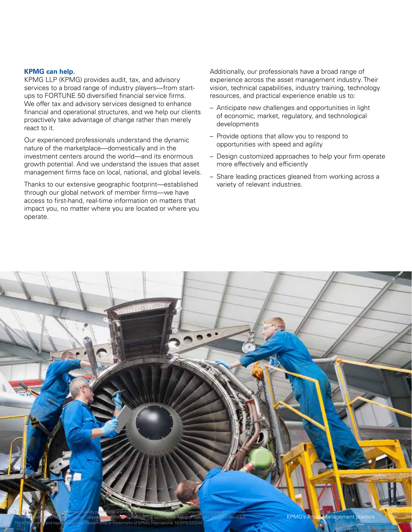#### **KPMG can help.**

KPMG LLP (KPMG) provides audit, tax, and advisory services to a broad range of industry players—from startups to FORTUNE 50 diversified financial service firms. We offer tax and advisory services designed to enhance financial and operational structures, and we help our clients proactively take advantage of change rather than merely react to it.

Our experienced professionals understand the dynamic nature of the marketplace—domestically and in the investment centers around the world—and its enormous growth potential. And we understand the issues that asset management firms face on local, national, and global levels.

Thanks to our extensive geographic footprint—established through our global network of member firms—we have access to first-hand, real-time information on matters that impact you, no matter where you are located or where you operate.

Additionally, our professionals have a broad range of experience across the asset management industry. Their vision, technical capabilities, industry training, technology resources, and practical experience enable us to:

- Anticipate new challenges and opportunities in light of economic, market, regulatory, and technological developments
- Provide options that allow you to respond to opportunities with speed and agility
- Design customized approaches to help your firm operate more effectively and efficiently
- Share leading practices gleaned from working across a variety of relevant industries.

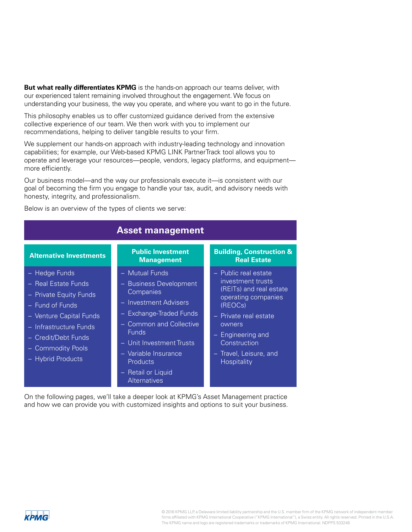**But what really differentiates KPMG** is the hands-on approach our teams deliver, with our experienced talent remaining involved throughout the engagement. We focus on understanding your business, the way you operate, and where you want to go in the future.

This philosophy enables us to offer customized guidance derived from the extensive collective experience of our team. We then work with you to implement our recommendations, helping to deliver tangible results to your firm.

We supplement our hands-on approach with industry-leading technology and innovation capabilities; for example, our Web-based KPMG LINK PartnerTrack tool allows you to operate and leverage your resources—people, vendors, legacy platforms, and equipment more efficiently.

Our business model—and the way our professionals execute it—is consistent with our goal of becoming the firm you engage to handle your tax, audit, and advisory needs with honesty, integrity, and professionalism.

Below is an overview of the types of clients we serve:

| <b>Asset management</b>                                                                                                                                                                                 |                                                                                                                                                                                                                             |                                                                                                                                                                                                                        |
|---------------------------------------------------------------------------------------------------------------------------------------------------------------------------------------------------------|-----------------------------------------------------------------------------------------------------------------------------------------------------------------------------------------------------------------------------|------------------------------------------------------------------------------------------------------------------------------------------------------------------------------------------------------------------------|
| <b>Alternative Investments</b>                                                                                                                                                                          | <b>Public Investment</b><br><b>Management</b>                                                                                                                                                                               | <b>Building, Construction</b><br><b>Real Estate</b>                                                                                                                                                                    |
| - Hedge Funds<br>- Real Estate Funds<br>- Private Equity Funds<br>- Fund of Funds<br>- Venture Capital Funds<br>- Infrastructure Funds<br>- Credit/Debt Funds<br>- Commodity Pools<br>- Hybrid Products | - Mutual Funds<br>- Business Development<br>Companies<br>- Investment Advisers<br>- Exchange-Traded Funds<br>- Common and Collective<br><b>Funds</b><br>- Unit Investment Trusts<br>- Variable Insurance<br><b>Products</b> | - Public real estate<br>investment trusts<br>(REITs) and real estat<br>operating companies<br>(REOCs)<br>- Private real estate<br>owners<br>- Engineering and<br>Construction<br>- Travel, Leisure, and<br>Hospitality |
|                                                                                                                                                                                                         | - Retail or Liquid                                                                                                                                                                                                          |                                                                                                                                                                                                                        |

On the following pages, we'll take a deeper look at KPMG's Asset Management practice and how we can provide you with customized insights and options to suit your business.

**Alternatives** 



 $-$  Hedg  $-$  Real – Priva – Fund – Ventu  $-$  Infrast  $-$  Cred – Com  $-$  Hybr

**Building, Construction & Real Estate**

 $\overline{\text{i}}$ c real estate stment trusts (Fait) and real estate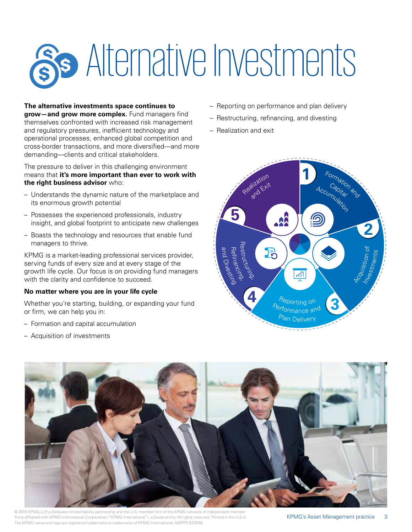

**The alternative investments space continues to grow—and grow more complex.** Fund managers find themselves confronted with increased risk management and regulatory pressures, inefficient technology and operational processes, enhanced global competition and cross-border transactions, and more diversified—and more demanding—clients and critical stakeholders.

The pressure to deliver in this challenging environment means that **it's more important than ever to work with the right business advisor** who:

- Understands the dynamic nature of the marketplace and its enormous growth potential
- Possesses the experienced professionals, industry insight, and global footprint to anticipate new challenges
- Boasts the technology and resources that enable fund managers to thrive.

KPMG is a market-leading professional services provider, serving funds of every size and at every stage of the growth life cycle. Our focus is on providing fund managers with the clarity and confidence to succeed.

#### **No matter where you are in your life cycle**

Whether you're starting, building, or expanding your fund or firm, we can help you in:

- Formation and capital accumulation
- Acquisition of investments
- Reporting on performance and plan delivery
- Restructuring, refinancing, and divesting
- Realization and exit



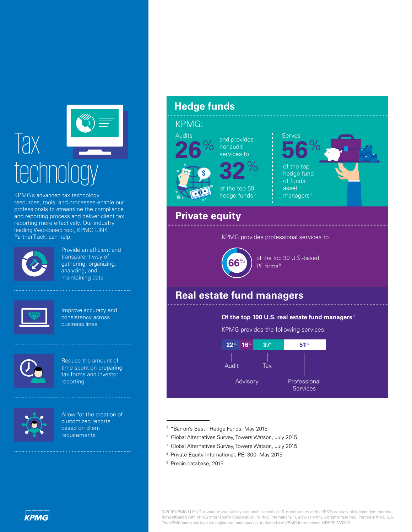

KPMG's advanced tax technology resources, tools, and processes enable our professionals to streamline the compliance and reporting process and deliver client tax reporting more effectively. Our industry leading Web-based tool, KPMG LINK PartnerTrack, can help:



**maintaining data** Provide an efficient and transparent way of gathering, organizing, analyzing, and

 $\frac{1}{2} \left( \frac{1}{2} \right) \left( \frac{1}{2} \right) \left( \frac{1}{2} \right) \left( \frac{1}{2} \right) \left( \frac{1}{2} \right) \left( \frac{1}{2} \right) \left( \frac{1}{2} \right) \left( \frac{1}{2} \right) \left( \frac{1}{2} \right) \left( \frac{1}{2} \right) \left( \frac{1}{2} \right) \left( \frac{1}{2} \right) \left( \frac{1}{2} \right) \left( \frac{1}{2} \right) \left( \frac{1}{2} \right) \left( \frac{1}{2} \right) \left( \frac$ 



Improve accuracy and consistency across business lines



Reduce the amount of time spent on preparing tax forms and investor reporting



**KPMG** 

Allow for the creation of customized reports based on client requirements

## **Hedge funds**

## KPMG: Audits and provides **26**% G.

**32**% nonaudit services to of the top 50 hedge funds<sup>5</sup>



## **Private equity**

KPMG provides professional services to



of the top 30 U.S.-based PE firms<sup>8</sup>

### **Real estate fund managers**

#### **Of the top 100 U.S. real estate fund managers** <sup>9</sup>

KPMG provides the following services:



<sup>5</sup> "Barron's Best" Hedge Funds, May 2015

- <sup>6</sup> Global Alternatives Survey, Towers Watson, July 2015
- <sup>7</sup> Global Alternatives Survey, Towers Watson, July 2015
- 8 Private Equity International, PEI 300, May 2015
- <sup>9</sup> Preqin database, 2015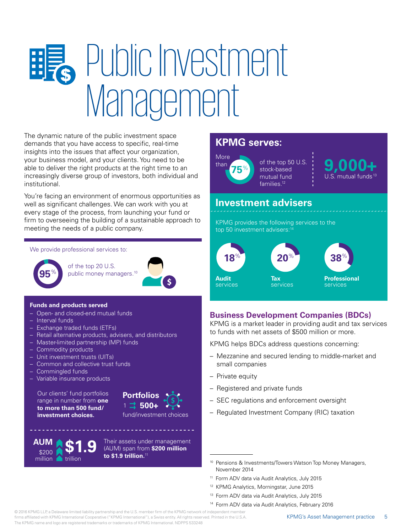# **B** Public Investment Management

The dynamic nature of the public investment space demands that you have access to specific, real-time insights into the issues that affect your organization, your business model, and your clients. You need to be able to deliver the right products at the right time to an increasingly diverse group of investors, both individual and institutional.

You're facing an environment of enormous opportunities as well as significant challenges. We can work with you at every stage of the process, from launching your fund or firm to overseeing the building of a sustainable approach to meeting the needs of a public company.

#### We provide professional services to:



of the top 20 U.S. public money managers.<sup>10</sup>



#### **Funds and products served**

- Open- and closed-end mutual funds
- Interval funds
- Exchange traded funds (ETFs)
- Retail alternative products, advisers, and distributors
- Master-limited partnership (MP) funds
- Commodity products
- Unit investment trusts (UITs)
- Common and collective trust funds
- Commingled funds

**AUM \$1.9**

\$200

million **trillion** 

– Variable insurance products

Our clients' fund portfolios range in number from **one to more than 500 fund/ investment choices.**



Their assets under management (AUM) span from **\$200 million to \$1.9 trillion.**<sup>11</sup>

### **KPMG serves:**



U.S. mutual funds<sup>13</sup>

## **Investment advisers**

KPMG provides the following services to the top 50 investment advisers:<sup>1</sup>



#### **Business Development Companies (BDCs)**

KPMG is a market leader in providing audit and tax services to funds with net assets of \$500 million or more.

KPMG helps BDCs address questions concerning:

- Mezzanine and secured lending to middle-market and small companies
- Private equity
- Registered and private funds
- SEC regulations and enforcement oversight
- Regulated Investment Company (RIC) taxation

- <sup>11</sup> Form ADV data via Audit Analytics, July 2015
- <sup>12</sup> KPMG Analytics, Morningstar, June 2015
- <sup>13</sup> Form ADV data via Audit Analytics, July 2015
- <sup>14</sup> Form ADV data via Audit Analytics, February 2016

<sup>&</sup>lt;sup>10</sup> Pensions & Investments/Towers Watson Top Money Managers, November 2014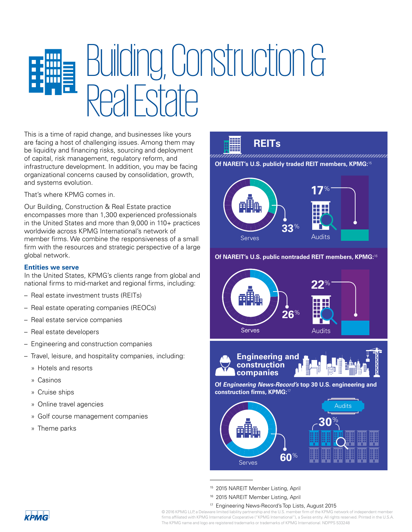# Building, Construction & MT  $R$

This is a time of rapid change, and businesses like yours are facing a host of challenging issues. Among them may be liquidity and financing risks, sourcing and deployment of capital, risk management, regulatory reform, and infrastructure development. In addition, you may be facing organizational concerns caused by consolidation, growth, and systems evolution.

That's where KPMG comes in.

Our Building, Construction & Real Estate practice encompasses more than 1,300 experienced professionals in the United States and more than 9,000 in 110+ practices worldwide across KPMG International's network of member firms. We combine the responsiveness of a small firm with the resources and strategic perspective of a large global network.

#### **Entities we serve**

In the United States, KPMG's clients range from global and national firms to mid-market and regional firms, including:

- Real estate investment trusts (REITs)
- Real estate operating companies (REOCs)
- Real estate service companies
- Real estate developers
- Engineering and construction companies
- Travel, leisure, and hospitality companies, including:
	- » Hotels and resorts
	- » Casinos
	- » Cruise ships
	- » Online travel agencies
	- » Golf course management companies
	- » Theme parks

**REITs**

**Of NAREIT's U.S. publicly traded REIT members, KPMG:**<sup>15</sup>



#### **Of NAREIT's U.S. public nontraded REIT members, KPMG:**<sup>16</sup>





**Of Engineering News-Record's top 30 U.S. engineering and construction firms, KPMG:**<sup>17</sup>



- <sup>15</sup> 2015 NAREIT Member Listing, April
- <sup>16</sup> 2015 NAREIT Member Listing, April
- <sup>17</sup> Engineering News-Record's Top Lists, August 2015

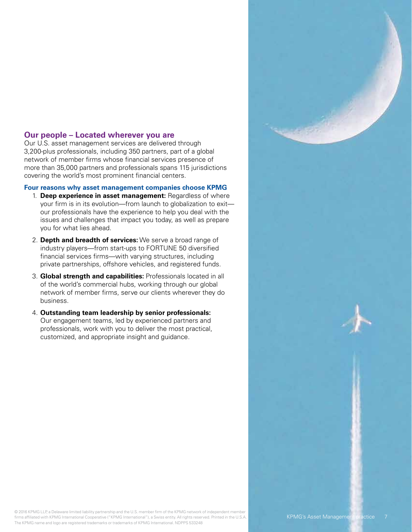#### **Our people – Located wherever you are**

Our U.S. asset management services are delivered through 3,200-plus professionals, including 350 partners, part of a global network of member firms whose financial services presence of more than 35,000 partners and professionals spans 115 jurisdictions covering the world's most prominent financial centers.

#### **Four reasons why asset management companies choose KPMG**

- 1. **Deep experience in asset management:** Regardless of where your firm is in its evolution—from launch to globalization to exit our professionals have the experience to help you deal with the issues and challenges that impact you today, as well as prepare you for what lies ahead.
- 2. **Depth and breadth of services:** We serve a broad range of industry players—from start-ups to FORTUNE 50 diversified financial services firms—with varying structures, including private partnerships, offshore vehicles, and registered funds.
- 3. **Global strength and capabilities:** Professionals located in all of the world's commercial hubs, working through our global network of member firms, serve our clients wherever they do business.
- 4. **Outstanding team leadership by senior professionals:** Our engagement teams, led by experienced partners and professionals, work with you to deliver the most practical, customized, and appropriate insight and guidance.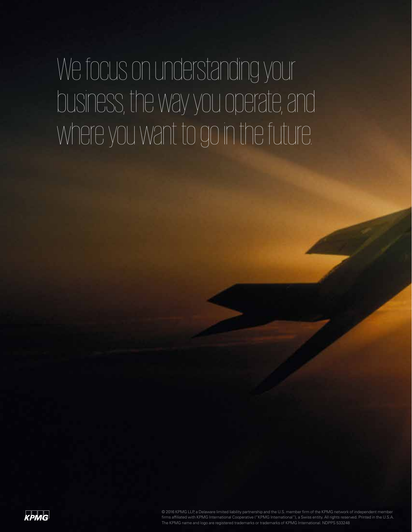We focus on understanding your business, the way you operate, and where you want to go in the future.



© 2016 KPMG LLP, a Delaware limited liability partnership and the U.S. member firm of the KPMG network of independent member The KPMG name and logo are registered trademarks or trademarks of KPMG International. NDPPS 533248